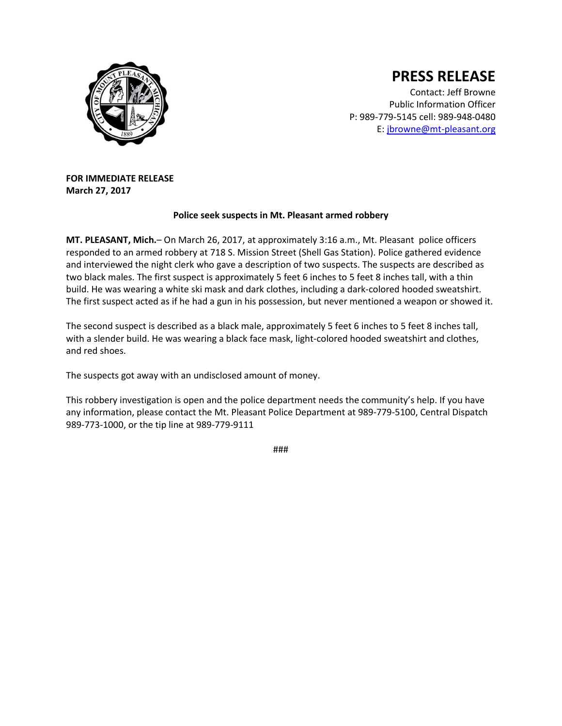

## **PRESS RELEASE**

Contact: Jeff Browne Public Information Officer P: 989-779-5145 cell: 989-948-0480 E: [jbrowne@mt-pleasant.org](mailto:jbrowne@mt-pleasant.org)

**FOR IMMEDIATE RELEASE March 27, 2017** 

## **Police seek suspects in Mt. Pleasant armed robbery**

**MT. PLEASANT, Mich.**– On March 26, 2017, at approximately 3:16 a.m., Mt. Pleasant police officers responded to an armed robbery at 718 S. Mission Street (Shell Gas Station). Police gathered evidence and interviewed the night clerk who gave a description of two suspects. The suspects are described as two black males. The first suspect is approximately 5 feet 6 inches to 5 feet 8 inches tall, with a thin build. He was wearing a white ski mask and dark clothes, including a dark-colored hooded sweatshirt. The first suspect acted as if he had a gun in his possession, but never mentioned a weapon or showed it.

The second suspect is described as a black male, approximately 5 feet 6 inches to 5 feet 8 inches tall, with a slender build. He was wearing a black face mask, light-colored hooded sweatshirt and clothes, and red shoes.

The suspects got away with an undisclosed amount of money.

This robbery investigation is open and the police department needs the community's help. If you have any information, please contact the Mt. Pleasant Police Department at 989-779-5100, Central Dispatch 989-773-1000, or the tip line at 989-779-9111

###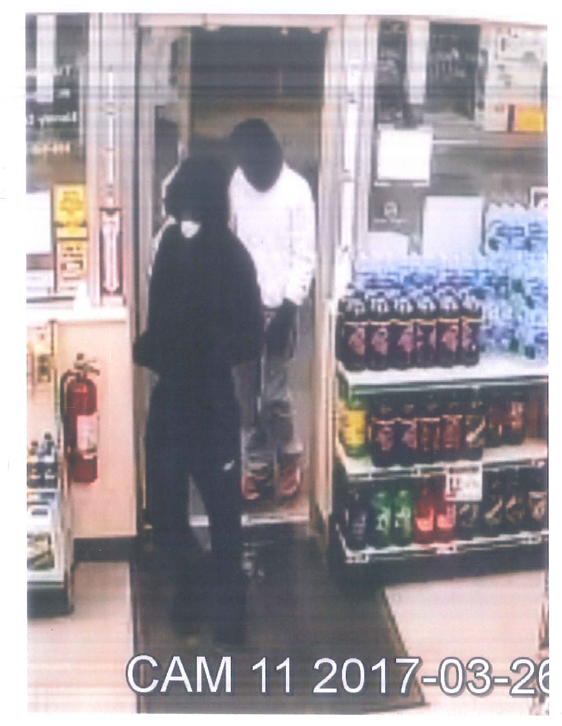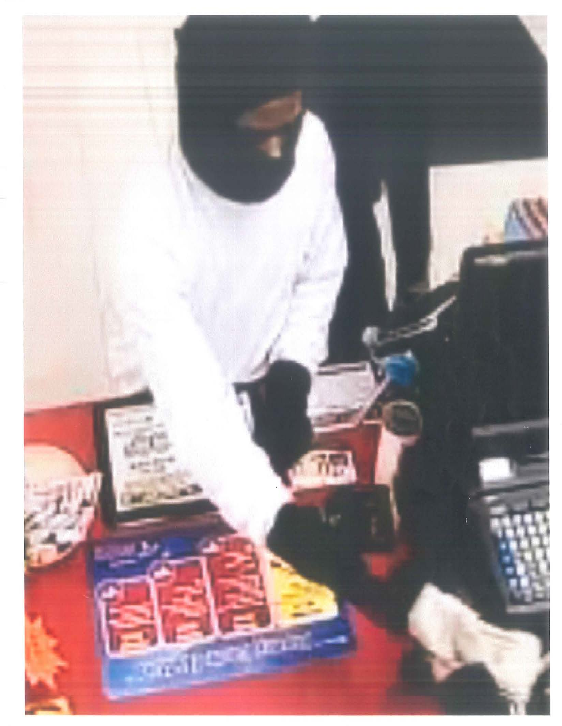